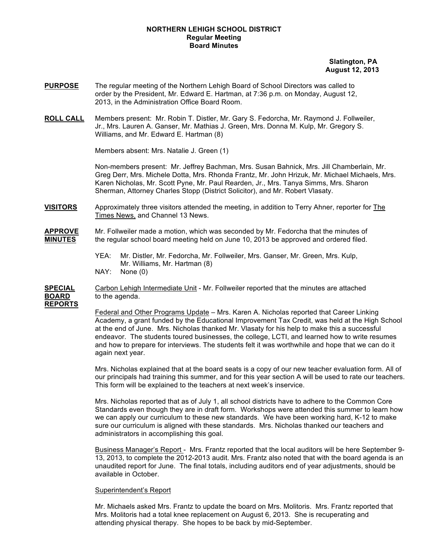## **NORTHERN LEHIGH SCHOOL DISTRICT Regular Meeting Board Minutes**

## **Slatington, PA August 12, 2013**

- **PURPOSE** The regular meeting of the Northern Lehigh Board of School Directors was called to order by the President, Mr. Edward E. Hartman, at 7:36 p.m. on Monday, August 12, 2013, in the Administration Office Board Room.
- **ROLL CALL** Members present: Mr. Robin T. Distler, Mr. Gary S. Fedorcha, Mr. Raymond J. Follweiler, Jr., Mrs. Lauren A. Ganser, Mr. Mathias J. Green, Mrs. Donna M. Kulp, Mr. Gregory S. Williams, and Mr. Edward E. Hartman (8)

Members absent: Mrs. Natalie J. Green (1)

Non-members present: Mr. Jeffrey Bachman, Mrs. Susan Bahnick, Mrs. Jill Chamberlain, Mr. Greg Derr, Mrs. Michele Dotta, Mrs. Rhonda Frantz, Mr. John Hrizuk, Mr. Michael Michaels, Mrs. Karen Nicholas, Mr. Scott Pyne, Mr. Paul Rearden, Jr., Mrs. Tanya Simms, Mrs. Sharon Sherman, Attorney Charles Stopp (District Solicitor), and Mr. Robert Vlasaty.

**VISITORS** Approximately three visitors attended the meeting, in addition to Terry Ahner, reporter for The Times News, and Channel 13 News.

**APPROVE** Mr. Follweiler made a motion, which was seconded by Mr. Fedorcha that the minutes of **MINUTES** the regular school board meeting held on June 10, 2013 be approved and ordered filed.

> YEA: Mr. Distler, Mr. Fedorcha, Mr. Follweiler, Mrs. Ganser, Mr. Green, Mrs. Kulp, Mr. Williams, Mr. Hartman (8) NAY: None (0)

**SPECIAL** Carbon Lehigh Intermediate Unit - Mr. Follweiler reported that the minutes are attached **BOARD** to the agenda. **REPORTS**

> Federal and Other Programs Update – Mrs. Karen A. Nicholas reported that Career Linking Academy, a grant funded by the Educational Improvement Tax Credit, was held at the High School at the end of June. Mrs. Nicholas thanked Mr. Vlasaty for his help to make this a successful endeavor. The students toured businesses, the college, LCTI, and learned how to write resumes and how to prepare for interviews. The students felt it was worthwhile and hope that we can do it again next year.

> Mrs. Nicholas explained that at the board seats is a copy of our new teacher evaluation form. All of our principals had training this summer, and for this year section A will be used to rate our teachers. This form will be explained to the teachers at next week's inservice.

> Mrs. Nicholas reported that as of July 1, all school districts have to adhere to the Common Core Standards even though they are in draft form. Workshops were attended this summer to learn how we can apply our curriculum to these new standards. We have been working hard, K-12 to make sure our curriculum is aligned with these standards. Mrs. Nicholas thanked our teachers and administrators in accomplishing this goal.

> Business Manager's Report - Mrs. Frantz reported that the local auditors will be here September 9- 13, 2013, to complete the 2012-2013 audit. Mrs. Frantz also noted that with the board agenda is an unaudited report for June. The final totals, including auditors end of year adjustments, should be available in October.

## Superintendent's Report

Mr. Michaels asked Mrs. Frantz to update the board on Mrs. Molitoris. Mrs. Frantz reported that Mrs. Molitoris had a total knee replacement on August 6, 2013. She is recuperating and attending physical therapy. She hopes to be back by mid-September.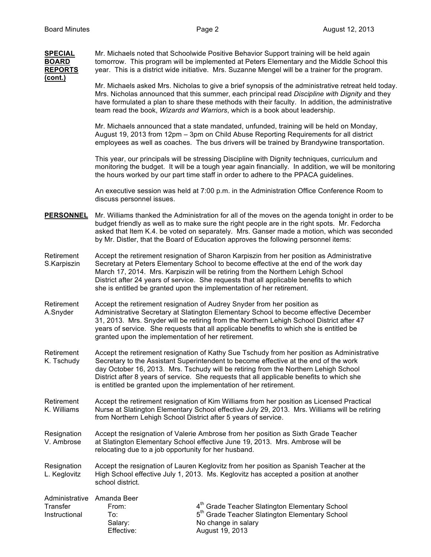| <b>SPECIAL</b><br><b>BOARD</b><br><b>REPORTS</b><br>(cont.) | Mr. Michaels noted that Schoolwide Positive Behavior Support training will be held again<br>tomorrow. This program will be implemented at Peters Elementary and the Middle School this<br>year. This is a district wide initiative. Mrs. Suzanne Mengel will be a trainer for the program.                                                                                                                                                  |                                                                                                                          |
|-------------------------------------------------------------|---------------------------------------------------------------------------------------------------------------------------------------------------------------------------------------------------------------------------------------------------------------------------------------------------------------------------------------------------------------------------------------------------------------------------------------------|--------------------------------------------------------------------------------------------------------------------------|
|                                                             | Mr. Michaels asked Mrs. Nicholas to give a brief synopsis of the administrative retreat held today.<br>Mrs. Nicholas announced that this summer, each principal read Discipline with Dignity and they<br>have formulated a plan to share these methods with their faculty. In addition, the administrative<br>team read the book, Wizards and Warriors, which is a book about leadership.                                                   |                                                                                                                          |
|                                                             | Mr. Michaels announced that a state mandated, unfunded, training will be held on Monday,<br>August 19, 2013 from 12pm – 3pm on Child Abuse Reporting Requirements for all district<br>employees as well as coaches. The bus drivers will be trained by Brandywine transportation.                                                                                                                                                           |                                                                                                                          |
|                                                             | This year, our principals will be stressing Discipline with Dignity techniques, curriculum and<br>monitoring the budget. It will be a tough year again financially. In addition, we will be monitoring<br>the hours worked by our part time staff in order to adhere to the PPACA guidelines.                                                                                                                                               |                                                                                                                          |
|                                                             | An executive session was held at 7:00 p.m. in the Administration Office Conference Room to<br>discuss personnel issues.                                                                                                                                                                                                                                                                                                                     |                                                                                                                          |
| <b>PERSONNEL</b>                                            | Mr. Williams thanked the Administration for all of the moves on the agenda tonight in order to be<br>budget friendly as well as to make sure the right people are in the right spots. Mr. Fedorcha<br>asked that Item K.4. be voted on separately. Mrs. Ganser made a motion, which was seconded<br>by Mr. Distler, that the Board of Education approves the following personnel items:                                                     |                                                                                                                          |
| Retirement<br>S.Karpiszin                                   | Accept the retirement resignation of Sharon Karpiszin from her position as Administrative<br>Secretary at Peters Elementary School to become effective at the end of the work day<br>March 17, 2014. Mrs. Karpiszin will be retiring from the Northern Lehigh School<br>District after 24 years of service. She requests that all applicable benefits to which<br>she is entitled be granted upon the implementation of her retirement.     |                                                                                                                          |
| Retirement<br>A.Snyder                                      | Accept the retirement resignation of Audrey Snyder from her position as<br>Administrative Secretary at Slatington Elementary School to become effective December<br>31, 2013. Mrs. Snyder will be retiring from the Northern Lehigh School District after 47<br>years of service. She requests that all applicable benefits to which she is entitled be<br>granted upon the implementation of her retirement.                               |                                                                                                                          |
| Retirement<br>K. Tschudy                                    | Accept the retirement resignation of Kathy Sue Tschudy from her position as Administrative<br>Secretary to the Assistant Superintendent to become effective at the end of the work<br>day October 16, 2013. Mrs. Tschudy will be retiring from the Northern Lehigh School<br>District after 8 years of service. She requests that all applicable benefits to which she<br>is entitled be granted upon the implementation of her retirement. |                                                                                                                          |
| Retirement<br>K. Williams                                   | Accept the retirement resignation of Kim Williams from her position as Licensed Practical<br>Nurse at Slatington Elementary School effective July 29, 2013. Mrs. Williams will be retiring<br>from Northern Lehigh School District after 5 years of service.                                                                                                                                                                                |                                                                                                                          |
| Resignation<br>V. Ambrose                                   | Accept the resignation of Valerie Ambrose from her position as Sixth Grade Teacher<br>at Slatington Elementary School effective June 19, 2013. Mrs. Ambrose will be<br>relocating due to a job opportunity for her husband.                                                                                                                                                                                                                 |                                                                                                                          |
| Resignation<br>L. Keglovitz                                 | Accept the resignation of Lauren Keglovitz from her position as Spanish Teacher at the<br>High School effective July 1, 2013. Ms. Keglovitz has accepted a position at another<br>school district.                                                                                                                                                                                                                                          |                                                                                                                          |
| Administrative<br>Transfer<br>Instructional                 | Amanda Beer<br>From:<br>To:<br>No change in salary<br>Salary:<br>August 19, 2013<br>Effective:                                                                                                                                                                                                                                                                                                                                              | 4 <sup>th</sup> Grade Teacher Slatington Elementary School<br>5 <sup>th</sup> Grade Teacher Slatington Elementary School |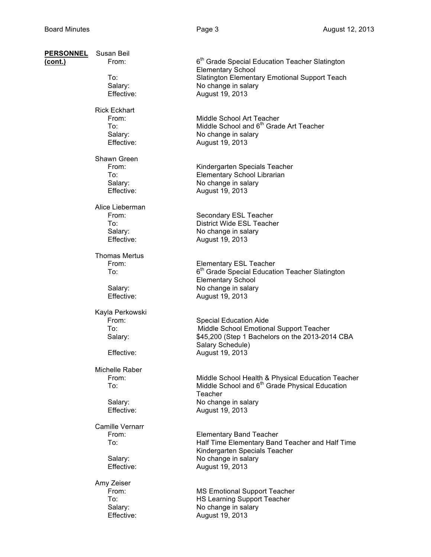| <b>PERSONNEL</b><br>(cont.) | Susan Beil<br>From:     | 6 <sup>th</sup> Grade Special Education Teacher Slatington                                  |
|-----------------------------|-------------------------|---------------------------------------------------------------------------------------------|
|                             |                         | <b>Elementary School</b>                                                                    |
|                             | To:<br>Salary:          | Slatington Elementary Emotional Support Teach<br>No change in salary                        |
|                             | Effective:              | August 19, 2013                                                                             |
|                             | <b>Rick Eckhart</b>     |                                                                                             |
|                             | From:                   | Middle School Art Teacher                                                                   |
|                             | To:                     | Middle School and 6 <sup>th</sup> Grade Art Teacher                                         |
|                             | Salary:<br>Effective:   | No change in salary<br>August 19, 2013                                                      |
|                             | Shawn Green             |                                                                                             |
|                             | From:<br>To:            | Kindergarten Specials Teacher                                                               |
|                             | Salary:                 | Elementary School Librarian<br>No change in salary                                          |
|                             | Effective:              | August 19, 2013                                                                             |
|                             | Alice Lieberman         |                                                                                             |
|                             | From:<br>To:            | Secondary ESL Teacher<br>District Wide ESL Teacher                                          |
|                             | Salary:                 | No change in salary                                                                         |
|                             | Effective:              | August 19, 2013                                                                             |
|                             | <b>Thomas Mertus</b>    |                                                                                             |
|                             | From:<br>To:            | <b>Elementary ESL Teacher</b><br>6 <sup>th</sup> Grade Special Education Teacher Slatington |
|                             |                         | <b>Elementary School</b>                                                                    |
|                             | Salary:                 | No change in salary                                                                         |
|                             | Effective:              | August 19, 2013                                                                             |
|                             | Kayla Perkowski         |                                                                                             |
|                             | From:<br>To:            | <b>Special Education Aide</b><br>Middle School Emotional Support Teacher                    |
|                             | Salary:                 | \$45,200 (Step 1 Bachelors on the 2013-2014 CBA                                             |
|                             | Effective:              | Salary Schedule)<br>August 19, 2013                                                         |
|                             |                         |                                                                                             |
|                             | Michelle Raber<br>From: | Middle School Health & Physical Education Teacher                                           |
|                             | To:                     | Middle School and 6 <sup>th</sup> Grade Physical Education                                  |
|                             |                         | Teacher                                                                                     |
|                             | Salary:                 | No change in salary                                                                         |
|                             | Effective:              | August 19, 2013                                                                             |
|                             | Camille Vernarr         |                                                                                             |
|                             | From:<br>To:            | <b>Elementary Band Teacher</b><br>Half Time Elementary Band Teacher and Half Time           |
|                             |                         | Kindergarten Specials Teacher                                                               |
|                             | Salary:                 | No change in salary                                                                         |
|                             | Effective:              | August 19, 2013                                                                             |
|                             | Amy Zeiser<br>From:     |                                                                                             |
|                             | To:                     | <b>MS Emotional Support Teacher</b><br><b>HS Learning Support Teacher</b>                   |
|                             | Salary:                 | No change in salary                                                                         |
|                             | Effective:              | August 19, 2013                                                                             |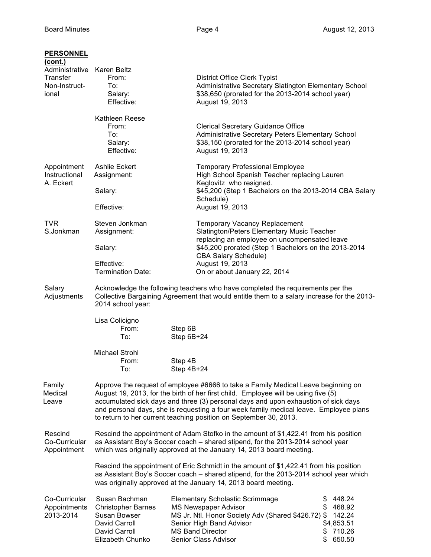| <b>PERSONNEL</b><br>(cont.)<br>Administrative Karen Beltz<br>Transfer<br>Non-Instruct-<br>ional | From:<br>To:<br>Salary:<br>Effective:                                                                            | <b>District Office Clerk Typist</b><br>Administrative Secretary Slatington Elementary School<br>\$38,650 (prorated for the 2013-2014 school year)<br>August 19, 2013                                                                                                                                                                                                                                                              |                                                                                      |
|-------------------------------------------------------------------------------------------------|------------------------------------------------------------------------------------------------------------------|-----------------------------------------------------------------------------------------------------------------------------------------------------------------------------------------------------------------------------------------------------------------------------------------------------------------------------------------------------------------------------------------------------------------------------------|--------------------------------------------------------------------------------------|
|                                                                                                 | Kathleen Reese<br>From:<br>To:<br>Salary:<br>Effective:                                                          | <b>Clerical Secretary Guidance Office</b><br>Administrative Secretary Peters Elementary School<br>\$38,150 (prorated for the 2013-2014 school year)<br>August 19, 2013                                                                                                                                                                                                                                                            |                                                                                      |
| Appointment<br>Instructional<br>A. Eckert                                                       | <b>Ashlie Eckert</b><br>Assignment:<br>Salary:<br>Effective:                                                     | <b>Temporary Professional Employee</b><br>High School Spanish Teacher replacing Lauren<br>Keglovitz who resigned.<br>\$45,200 (Step 1 Bachelors on the 2013-2014 CBA Salary<br>Schedule)<br>August 19, 2013                                                                                                                                                                                                                       |                                                                                      |
| <b>TVR</b><br>S.Jonkman                                                                         | Steven Jonkman<br>Assignment:<br>Salary:<br>Effective:<br><b>Termination Date:</b>                               | <b>Temporary Vacancy Replacement</b><br>Slatington/Peters Elementary Music Teacher<br>replacing an employee on uncompensated leave<br>\$45,200 prorated (Step 1 Bachelors on the 2013-2014<br><b>CBA Salary Schedule)</b><br>August 19, 2013<br>On or about January 22, 2014                                                                                                                                                      |                                                                                      |
| Salary<br>Adjustments                                                                           | 2014 school year:<br>Lisa Colicigno<br>From:<br>To:                                                              | Acknowledge the following teachers who have completed the requirements per the<br>Collective Bargaining Agreement that would entitle them to a salary increase for the 2013-<br>Step 6B<br>Step 6B+24                                                                                                                                                                                                                             |                                                                                      |
|                                                                                                 | Michael Strohl<br>From:<br>To:                                                                                   | Step 4B<br>Step 4B+24                                                                                                                                                                                                                                                                                                                                                                                                             |                                                                                      |
| Family<br>Medical<br>Leave                                                                      |                                                                                                                  | Approve the request of employee #6666 to take a Family Medical Leave beginning on<br>August 19, 2013, for the birth of her first child. Employee will be using five (5)<br>accumulated sick days and three (3) personal days and upon exhaustion of sick days<br>and personal days, she is requesting a four week family medical leave. Employee plans<br>to return to her current teaching position on September 30, 2013.       |                                                                                      |
| Rescind<br>Co-Curricular<br>Appointment                                                         |                                                                                                                  | Rescind the appointment of Adam Stofko in the amount of \$1,422.41 from his position<br>as Assistant Boy's Soccer coach - shared stipend, for the 2013-2014 school year<br>which was originally approved at the January 14, 2013 board meeting.<br>Rescind the appointment of Eric Schmidt in the amount of \$1,422.41 from his position<br>as Assistant Boy's Soccer coach - shared stipend, for the 2013-2014 school year which |                                                                                      |
| Co-Curricular<br>Appointments<br>2013-2014                                                      | Susan Bachman<br><b>Christopher Barnes</b><br>Susan Bowser<br>David Carroll<br>David Carroll<br>Elizabeth Chunko | was originally approved at the January 14, 2013 board meeting.<br><b>Elementary Scholastic Scrimmage</b><br><b>MS Newspaper Advisor</b><br>MS Jr. Ntl. Honor Society Adv (Shared \$426.72) \$<br>Senior High Band Advisor<br><b>MS Band Director</b><br>Senior Class Advisor                                                                                                                                                      | 448.24<br>\$<br>\$<br>468.92<br>142.24<br>\$4,853.51<br>710.26<br>\$<br>650.50<br>\$ |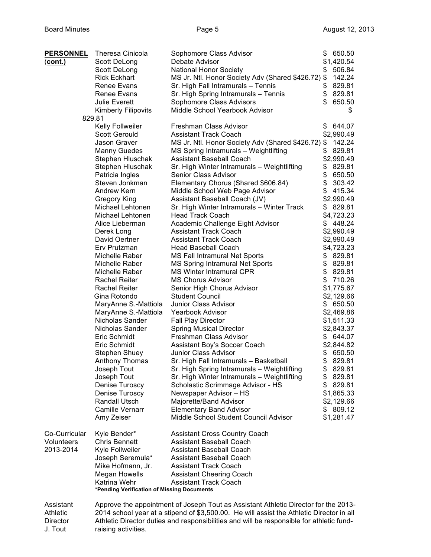| <b>PERSONNEL</b> | Theresa Cinicola                           | Sophomore Class Advisor                                                                  | \$<br>650.50         |
|------------------|--------------------------------------------|------------------------------------------------------------------------------------------|----------------------|
| <u>(cont.)</u>   | Scott DeLong                               | Debate Advisor                                                                           | \$1,420.54           |
|                  | Scott DeLong                               | <b>National Honor Society</b>                                                            | 506.84<br>\$         |
|                  | <b>Rick Eckhart</b>                        | MS Jr. Ntl. Honor Society Adv (Shared \$426.72) \$                                       | 142.24               |
|                  | Renee Evans                                | Sr. High Fall Intramurals - Tennis                                                       | 829.81<br>\$         |
|                  | Renee Evans                                | Sr. High Spring Intramurals - Tennis                                                     | \$829.81             |
|                  | <b>Julie Everett</b>                       | Sophomore Class Advisors                                                                 | 650.50               |
|                  | <b>Kimberly Filipovits</b>                 | Middle School Yearbook Advisor                                                           | \$                   |
|                  | 829.81                                     |                                                                                          |                      |
|                  | Kelly Follweiler                           | Freshman Class Advisor                                                                   | 644.07<br>\$         |
|                  | <b>Scott Gerould</b>                       | <b>Assistant Track Coach</b>                                                             | \$2,990.49           |
|                  | Jason Graver                               | MS Jr. Ntl. Honor Society Adv (Shared \$426.72) \$                                       | 142.24               |
|                  | <b>Manny Guedes</b>                        | MS Spring Intramurals - Weightlifting                                                    | 829.81<br>\$         |
|                  | Stephen Hluschak                           | <b>Assistant Baseball Coach</b>                                                          | \$2,990.49           |
|                  | Stephen Hluschak                           | Sr. High Winter Intramurals - Weightlifting                                              | 829.81<br>\$         |
|                  | Patricia Ingles                            | Senior Class Advisor                                                                     | \$<br>650.50         |
|                  | Steven Jonkman                             | Elementary Chorus (Shared \$606.84)                                                      | \$<br>303.42         |
|                  | Andrew Kern                                | Middle School Web Page Advisor                                                           | 415.34<br>\$         |
|                  | Gregory King                               | Assistant Baseball Coach (JV)                                                            | \$2,990.49           |
|                  | Michael Lehtonen                           | Sr. High Winter Intramurals - Winter Track                                               | \$829.81             |
|                  | Michael Lehtonen                           | <b>Head Track Coach</b>                                                                  | \$4,723.23           |
|                  | Alice Lieberman                            | Academic Challenge Eight Advisor                                                         | \$448.24             |
|                  | Derek Long                                 | <b>Assistant Track Coach</b>                                                             | \$2,990.49           |
|                  | David Oertner                              | <b>Assistant Track Coach</b>                                                             | \$2,990.49           |
|                  | Erv Prutzman                               | Head Baseball Coach                                                                      | \$4,723.23           |
|                  | Michelle Raber                             | <b>MS Fall Intramural Net Sports</b>                                                     | \$829.81             |
|                  | Michelle Raber                             | MS Spring Intramural Net Sports                                                          | \$829.81<br>\$829.81 |
|                  | Michelle Raber<br><b>Rachel Reiter</b>     | <b>MS Winter Intramural CPR</b><br><b>MS Chorus Advisor</b>                              | \$710.26             |
|                  | Rachel Reiter                              | Senior High Chorus Advisor                                                               | \$1,775.67           |
|                  | Gina Rotondo                               | <b>Student Council</b>                                                                   | \$2,129.66           |
|                  | MaryAnne S.-Mattiola                       | <b>Junior Class Advisor</b>                                                              | \$650.50             |
|                  | MaryAnne S.-Mattiola                       | Yearbook Advisor                                                                         | \$2,469.86           |
|                  | Nicholas Sander                            | <b>Fall Play Director</b>                                                                | \$1,511.33           |
|                  | Nicholas Sander                            | <b>Spring Musical Director</b>                                                           | \$2,843.37           |
|                  | Eric Schmidt                               | Freshman Class Advisor                                                                   | 644.07<br>S.         |
|                  | Eric Schmidt                               | Assistant Boy's Soccer Coach                                                             | \$2,844.82           |
|                  | Stephen Shuey                              | Junior Class Advisor                                                                     | 650.50<br>\$         |
|                  | <b>Anthony Thomas</b>                      | Sr. High Fall Intramurals - Basketball                                                   | 829.81<br>\$         |
|                  | Joseph Tout                                | Sr. High Spring Intramurals - Weightlifting                                              | \$829.81             |
|                  | Joseph Tout                                | Sr. High Winter Intramurals - Weightlifting                                              | \$829.81             |
|                  | Denise Turoscy                             | Scholastic Scrimmage Advisor - HS                                                        | \$829.81             |
|                  | Denise Turoscy                             | Newspaper Advisor - HS                                                                   | \$1,865.33           |
|                  | Randall Utsch                              | Majorette/Band Advisor                                                                   | \$2,129.66           |
|                  | <b>Camille Vernarr</b>                     | <b>Elementary Band Advisor</b>                                                           | \$809.12             |
|                  | Amy Zeiser                                 | Middle School Student Council Advisor                                                    | \$1,281.47           |
| Co-Curricular    | Kyle Bender*                               | <b>Assistant Cross Country Coach</b>                                                     |                      |
| Volunteers       | <b>Chris Bennett</b>                       | <b>Assistant Baseball Coach</b>                                                          |                      |
| 2013-2014        | Kyle Follweiler                            | <b>Assistant Baseball Coach</b>                                                          |                      |
|                  | Joseph Seremula*                           | <b>Assistant Baseball Coach</b>                                                          |                      |
|                  | Mike Hofmann, Jr.                          | <b>Assistant Track Coach</b>                                                             |                      |
|                  | <b>Megan Howells</b>                       | <b>Assistant Cheering Coach</b>                                                          |                      |
|                  | Katrina Wehr                               | <b>Assistant Track Coach</b>                                                             |                      |
|                  | *Pending Verification of Missing Documents |                                                                                          |                      |
| Assistant        |                                            | Approve the appointment of Joseph Tout as Assistant Athletic Director for the 2013-      |                      |
| Athletic         |                                            | 2014 school year at a stipend of \$3,500.00. He will assist the Athletic Director in all |                      |

Director Athletic Director duties and responsibilities and will be responsible for athletic fund-J. Tout raising activities.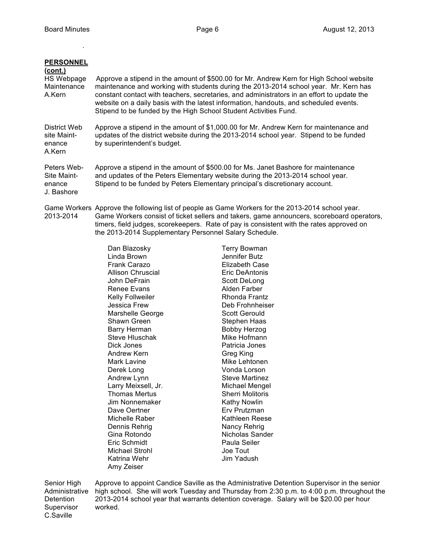.

| <b>PERSONNEL</b><br>(cont.)<br>HS Webpage<br>Maintenance<br>A.Kern | Approve a stipend in the amount of \$500.00 for Mr. Andrew Kern for High School website<br>maintenance and working with students during the 2013-2014 school year. Mr. Kern has<br>constant contact with teachers, secretaries, and administrators in an effort to update the<br>website on a daily basis with the latest information, handouts, and scheduled events.<br>Stipend to be funded by the High School Student Activities Fund. |
|--------------------------------------------------------------------|--------------------------------------------------------------------------------------------------------------------------------------------------------------------------------------------------------------------------------------------------------------------------------------------------------------------------------------------------------------------------------------------------------------------------------------------|
| District Web<br>site Maint-<br>enance<br>A.Kern                    | Approve a stipend in the amount of \$1,000.00 for Mr. Andrew Kern for maintenance and<br>updates of the district website during the 2013-2014 school year. Stipend to be funded<br>by superintendent's budget.                                                                                                                                                                                                                             |
| Peters Web-<br>Site Maint-<br>enance<br>J. Bashore                 | Approve a stipend in the amount of \$500.00 for Ms. Janet Bashore for maintenance<br>and updates of the Peters Elementary website during the 2013-2014 school year.<br>Stipend to be funded by Peters Elementary principal's discretionary account.                                                                                                                                                                                        |

Game Workers Approve the following list of people as Game Workers for the 2013-2014 school year. 2013-2014 Game Workers consist of ticket sellers and takers, game announcers, scoreboard operators, timers, field judges, scorekeepers. Rate of pay is consistent with the rates approved on the 2013-2014 Supplementary Personnel Salary Schedule.

Terry Bowman Jennifer Butz **Elizabeth Case** Eric DeAntonis Scott DeLong Alden Farber Rhonda Frantz Deb Frohnheiser Scott Gerould Stephen Haas Bobby Herzog Mike Hofmann Patricia Jones **Greg King** Mike Lehtonen Vonda Lorson Steve Martinez Michael Mengel Sherri Molitoris Kathy Nowlin Erv Prutzman Kathleen Reese Nancy Rehrig Nicholas Sander Paula Seiler Joe Tout Jim Yadush

Senior High Approve to appoint Candice Saville as the Administrative Detention Supervisor in the senior Administrative high school. She will work Tuesday and Thursday from 2:30 p.m. to 4:00 p.m. throughout the Detention 2013-2014 school year that warrants detention coverage. Salary will be \$20.00 per hour Supervisor worked. C.Saville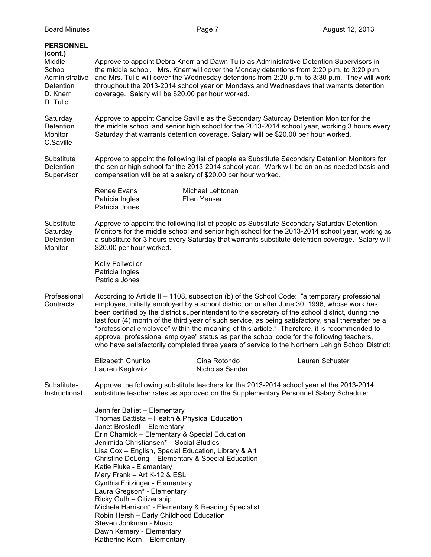| <b>PERSONNEL</b><br>(cont.)<br>Middle<br>School<br>Administrative<br><b>Detention</b><br>D. Knerr<br>D. Tulio | coverage. Salary will be \$20.00 per hour worked.                                                                                                                                                                                                                                                                                                                                                                                                                                                                                                                                                                                        |                                  | Approve to appoint Debra Knerr and Dawn Tulio as Administrative Detention Supervisors in<br>the middle school. Mrs. Knerr will cover the Monday detentions from 2:20 p.m. to 3:20 p.m.<br>and Mrs. Tulio will cover the Wednesday detentions from 2:20 p.m. to 3:30 p.m. They will work<br>throughout the 2013-2014 school year on Mondays and Wednesdays that warrants detention                                                                                                                                                                                                                                                                                                                        |
|---------------------------------------------------------------------------------------------------------------|------------------------------------------------------------------------------------------------------------------------------------------------------------------------------------------------------------------------------------------------------------------------------------------------------------------------------------------------------------------------------------------------------------------------------------------------------------------------------------------------------------------------------------------------------------------------------------------------------------------------------------------|----------------------------------|----------------------------------------------------------------------------------------------------------------------------------------------------------------------------------------------------------------------------------------------------------------------------------------------------------------------------------------------------------------------------------------------------------------------------------------------------------------------------------------------------------------------------------------------------------------------------------------------------------------------------------------------------------------------------------------------------------|
| Saturday<br><b>Detention</b><br>Monitor<br>C.Saville                                                          | Approve to appoint Candice Saville as the Secondary Saturday Detention Monitor for the<br>the middle school and senior high school for the 2013-2014 school year, working 3 hours every<br>Saturday that warrants detention coverage. Salary will be \$20.00 per hour worked.                                                                                                                                                                                                                                                                                                                                                            |                                  |                                                                                                                                                                                                                                                                                                                                                                                                                                                                                                                                                                                                                                                                                                          |
| Substitute<br><b>Detention</b><br>Supervisor                                                                  | Approve to appoint the following list of people as Substitute Secondary Detention Monitors for<br>the senior high school for the 2013-2014 school year. Work will be on an as needed basis and<br>compensation will be at a salary of \$20.00 per hour worked.                                                                                                                                                                                                                                                                                                                                                                           |                                  |                                                                                                                                                                                                                                                                                                                                                                                                                                                                                                                                                                                                                                                                                                          |
|                                                                                                               | <b>Renee Evans</b><br>Patricia Ingles<br>Patricia Jones                                                                                                                                                                                                                                                                                                                                                                                                                                                                                                                                                                                  | Michael Lehtonen<br>Ellen Yenser |                                                                                                                                                                                                                                                                                                                                                                                                                                                                                                                                                                                                                                                                                                          |
| Substitute<br>Saturday<br>Detention<br>Monitor                                                                | \$20.00 per hour worked.                                                                                                                                                                                                                                                                                                                                                                                                                                                                                                                                                                                                                 |                                  | Approve to appoint the following list of people as Substitute Secondary Saturday Detention<br>Monitors for the middle school and senior high school for the 2013-2014 school year, working as<br>a substitute for 3 hours every Saturday that warrants substitute detention coverage. Salary will                                                                                                                                                                                                                                                                                                                                                                                                        |
|                                                                                                               | <b>Kelly Follweiler</b><br>Patricia Ingles<br>Patricia Jones                                                                                                                                                                                                                                                                                                                                                                                                                                                                                                                                                                             |                                  |                                                                                                                                                                                                                                                                                                                                                                                                                                                                                                                                                                                                                                                                                                          |
| Professional<br>Contracts                                                                                     |                                                                                                                                                                                                                                                                                                                                                                                                                                                                                                                                                                                                                                          |                                  | According to Article II - 1108, subsection (b) of the School Code: "a temporary professional<br>employee, initially employed by a school district on or after June 30, 1996, whose work has<br>been certified by the district superintendent to the secretary of the school district, during the<br>last four (4) month of the third year of such service, as being satisfactory, shall thereafter be a<br>"professional employee" within the meaning of this article." Therefore, it is recommended to<br>approve "professional employee" status as per the school code for the following teachers,<br>who have satisfactorily completed three years of service to the Northern Lehigh School District: |
|                                                                                                               | Elizabeth Chunko<br>Lauren Keglovitz                                                                                                                                                                                                                                                                                                                                                                                                                                                                                                                                                                                                     | Gina Rotondo<br>Nicholas Sander  | Lauren Schuster                                                                                                                                                                                                                                                                                                                                                                                                                                                                                                                                                                                                                                                                                          |
| Substitute-<br>Instructional                                                                                  |                                                                                                                                                                                                                                                                                                                                                                                                                                                                                                                                                                                                                                          |                                  | Approve the following substitute teachers for the 2013-2014 school year at the 2013-2014<br>substitute teacher rates as approved on the Supplementary Personnel Salary Schedule:                                                                                                                                                                                                                                                                                                                                                                                                                                                                                                                         |
|                                                                                                               | Jennifer Balliet - Elementary<br>Thomas Battista - Health & Physical Education<br>Janet Brostedt - Elementary<br>Erin Charnick - Elementary & Special Education<br>Jenimida Christiansen* - Social Studies<br>Lisa Cox - English, Special Education, Library & Art<br>Christine DeLong - Elementary & Special Education<br>Katie Fluke - Elementary<br>Mary Frank - Art K-12 & ESL<br>Cynthia Fritzinger - Elementary<br>Laura Gregson* - Elementary<br>Ricky Guth - Citizenship<br>Michele Harrison* - Elementary & Reading Specialist<br>Robin Hersh - Early Childhood Education<br>Steven Jonkman - Music<br>Dawn Kemery - Elementary |                                  |                                                                                                                                                                                                                                                                                                                                                                                                                                                                                                                                                                                                                                                                                                          |

Katherine Kern – Elementary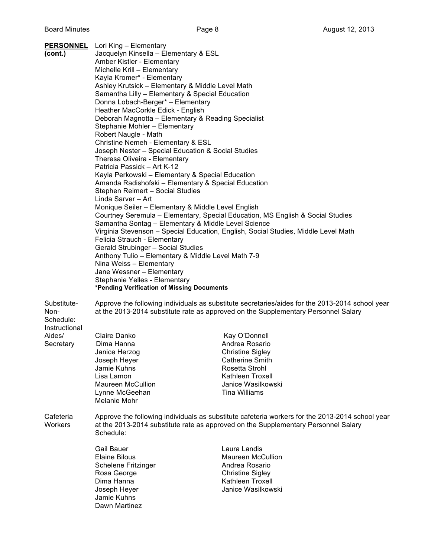| (cont.)                                                                  | <b>PERSONNEL</b> Lori King - Elementary<br>Jacquelyn Kinsella - Elementary & ESL<br>Amber Kistler - Elementary<br>Michelle Krill - Elementary<br>Kayla Kromer* - Elementary<br>Ashley Krutsick - Elementary & Middle Level Math<br>Samantha Lilly - Elementary & Special Education<br>Donna Lobach-Berger* - Elementary<br>Heather MacCorkle Edick - English<br>Deborah Magnotta - Elementary & Reading Specialist<br>Stephanie Mohler - Elementary<br>Robert Naugle - Math<br>Christine Nemeh - Elementary & ESL<br>Joseph Nester - Special Education & Social Studies<br>Theresa Oliveira - Elementary<br>Patricia Passick - Art K-12<br>Kayla Perkowski - Elementary & Special Education<br>Amanda Radishofski - Elementary & Special Education<br>Stephen Reimert - Social Studies<br>Linda Sarver - Art<br>Monique Seiler - Elementary & Middle Level English<br>Courtney Seremula - Elementary, Special Education, MS English & Social Studies<br>Samantha Sontag - Elementary & Middle Level Science<br>Virginia Stevenson - Special Education, English, Social Studies, Middle Level Math<br>Felicia Strauch - Elementary<br><b>Gerald Strubinger - Social Studies</b><br>Anthony Tulio - Elementary & Middle Level Math 7-9<br>Nina Weiss - Elementary<br>Jane Wessner - Elementary<br>Stephanie Yelles - Elementary<br>*Pending Verification of Missing Documents |                                                                                                                                                                                                                                                                                                                                           |
|--------------------------------------------------------------------------|-----------------------------------------------------------------------------------------------------------------------------------------------------------------------------------------------------------------------------------------------------------------------------------------------------------------------------------------------------------------------------------------------------------------------------------------------------------------------------------------------------------------------------------------------------------------------------------------------------------------------------------------------------------------------------------------------------------------------------------------------------------------------------------------------------------------------------------------------------------------------------------------------------------------------------------------------------------------------------------------------------------------------------------------------------------------------------------------------------------------------------------------------------------------------------------------------------------------------------------------------------------------------------------------------------------------------------------------------------------------------------|-------------------------------------------------------------------------------------------------------------------------------------------------------------------------------------------------------------------------------------------------------------------------------------------------------------------------------------------|
| Substitute-<br>Non-<br>Schedule:<br>Instructional<br>Aides/<br>Secretary | Claire Danko<br>Dima Hanna<br>Janice Herzog<br>Joseph Heyer<br>Jamie Kuhns<br>Lisa Lamon<br>Maureen McCullion                                                                                                                                                                                                                                                                                                                                                                                                                                                                                                                                                                                                                                                                                                                                                                                                                                                                                                                                                                                                                                                                                                                                                                                                                                                               | Approve the following individuals as substitute secretaries/aides for the 2013-2014 school year<br>at the 2013-2014 substitute rate as approved on the Supplementary Personnel Salary<br>Kay O'Donnell<br>Andrea Rosario<br><b>Christine Sigley</b><br><b>Catherine Smith</b><br>Rosetta Strohl<br>Kathleen Troxell<br>Janice Wasilkowski |
| Cafeteria<br>Workers                                                     | Lynne McGeehan<br>Melanie Mohr<br>Schedule:                                                                                                                                                                                                                                                                                                                                                                                                                                                                                                                                                                                                                                                                                                                                                                                                                                                                                                                                                                                                                                                                                                                                                                                                                                                                                                                                 | <b>Tina Williams</b><br>Approve the following individuals as substitute cafeteria workers for the 2013-2014 school year<br>at the 2013-2014 substitute rate as approved on the Supplementary Personnel Salary                                                                                                                             |
|                                                                          | <b>Gail Bauer</b><br><b>Elaine Bilous</b><br>Schelene Fritzinger<br>Rosa George<br>Dima Hanna<br>Joseph Heyer<br>Jamie Kuhns<br>Dawn Martinez                                                                                                                                                                                                                                                                                                                                                                                                                                                                                                                                                                                                                                                                                                                                                                                                                                                                                                                                                                                                                                                                                                                                                                                                                               | Laura Landis<br><b>Maureen McCullion</b><br>Andrea Rosario<br><b>Christine Sigley</b><br>Kathleen Troxell<br>Janice Wasilkowski                                                                                                                                                                                                           |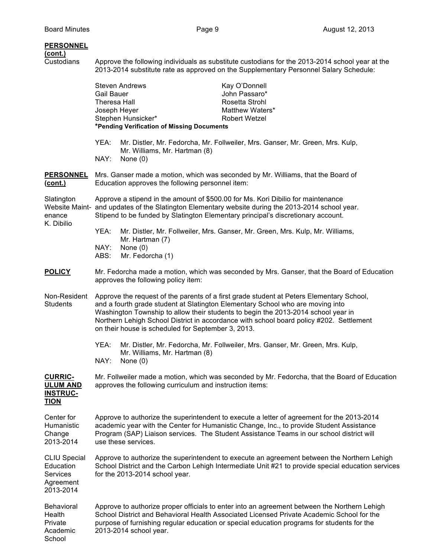## **PERSONNEL**

Custodians Approve the following individuals as substitute custodians for the 2013-2014 school year at the 2013-2014 substitute rate as approved on the Supplementary Personnel Salary Schedule:

|                                                                               | Gail Bauer<br>Theresa Hall | <b>Steven Andrews</b>                                            | Kay O'Donnell<br>John Passaro*<br>Rosetta Strohl                                                                                                                                                                                                                                                                                                           |
|-------------------------------------------------------------------------------|----------------------------|------------------------------------------------------------------|------------------------------------------------------------------------------------------------------------------------------------------------------------------------------------------------------------------------------------------------------------------------------------------------------------------------------------------------------------|
|                                                                               | Joseph Heyer               | Stephen Hunsicker*<br>*Pending Verification of Missing Documents | Matthew Waters*<br><b>Robert Wetzel</b>                                                                                                                                                                                                                                                                                                                    |
|                                                                               | YEA:<br>NAY:               | Mr. Williams, Mr. Hartman (8)<br>None $(0)$                      | Mr. Distler, Mr. Fedorcha, Mr. Follweiler, Mrs. Ganser, Mr. Green, Mrs. Kulp,                                                                                                                                                                                                                                                                              |
| <b>PERSONNEL</b><br><u>(cont.)</u>                                            |                            | Education approves the following personnel item:                 | Mrs. Ganser made a motion, which was seconded by Mr. Williams, that the Board of                                                                                                                                                                                                                                                                           |
| Slatington<br>enance<br>K. Dibilio                                            |                            |                                                                  | Approve a stipend in the amount of \$500.00 for Ms. Kori Dibilio for maintenance<br>Website Maint- and updates of the Slatington Elementary website during the 2013-2014 school year.<br>Stipend to be funded by Slatington Elementary principal's discretionary account.                                                                                  |
|                                                                               | YEA:                       | Mr. Hartman (7)                                                  | Mr. Distler, Mr. Follweiler, Mrs. Ganser, Mr. Green, Mrs. Kulp, Mr. Williams,                                                                                                                                                                                                                                                                              |
|                                                                               | NAY:<br>ABS:               | None $(0)$<br>Mr. Fedorcha (1)                                   |                                                                                                                                                                                                                                                                                                                                                            |
| <b>POLICY</b>                                                                 |                            | approves the following policy item:                              | Mr. Fedorcha made a motion, which was seconded by Mrs. Ganser, that the Board of Education                                                                                                                                                                                                                                                                 |
| Non-Resident<br><b>Students</b>                                               |                            | on their house is scheduled for September 3, 2013.               | Approve the request of the parents of a first grade student at Peters Elementary School,<br>and a fourth grade student at Slatington Elementary School who are moving into<br>Washington Township to allow their students to begin the 2013-2014 school year in<br>Northern Lehigh School District in accordance with school board policy #202. Settlement |
|                                                                               | YEA:<br>NAY:               | Mr. Williams, Mr. Hartman (8)<br>None $(0)$                      | Mr. Distler, Mr. Fedorcha, Mr. Follweiler, Mrs. Ganser, Mr. Green, Mrs. Kulp,                                                                                                                                                                                                                                                                              |
| <b>CURRIC-</b><br><b>ULUM AND</b><br><b>INSTRUC-</b><br><u>TION</u>           |                            | approves the following curriculum and instruction items:         | Mr. Follweiler made a motion, which was seconded by Mr. Fedorcha, that the Board of Education                                                                                                                                                                                                                                                              |
| Center for<br>Humanistic<br>Change<br>2013-2014                               |                            | use these services.                                              | Approve to authorize the superintendent to execute a letter of agreement for the 2013-2014<br>academic year with the Center for Humanistic Change, Inc., to provide Student Assistance<br>Program (SAP) Liaison services. The Student Assistance Teams in our school district will                                                                         |
| <b>CLIU Special</b><br>Education<br><b>Services</b><br>Agreement<br>2013-2014 |                            | for the 2013-2014 school year.                                   | Approve to authorize the superintendent to execute an agreement between the Northern Lehigh<br>School District and the Carbon Lehigh Intermediate Unit #21 to provide special education services                                                                                                                                                           |
| <b>Behavioral</b><br>Health<br>Private<br>Academic<br>School                  |                            | 2013-2014 school year.                                           | Approve to authorize proper officials to enter into an agreement between the Northern Lehigh<br>School District and Behavioral Health Associated Licensed Private Academic School for the<br>purpose of furnishing regular education or special education programs for students for the                                                                    |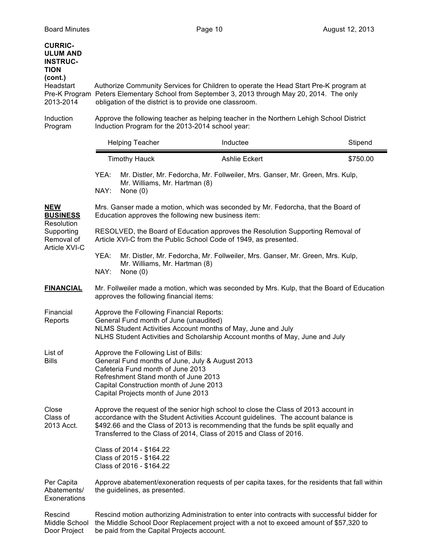| <b>CURRIC-</b><br><b>ULUM AND</b><br><b>INSTRUC-</b><br><b>TION</b><br>(cont.)<br>Headstart<br>2013-2014 | obligation of the district is to provide one classroom.                                                                                                                                                                                                | Authorize Community Services for Children to operate the Head Start Pre-K program at<br>Pre-K Program Peters Elementary School from September 3, 2013 through May 20, 2014. The only                                                                                                                                                 |          |  |
|----------------------------------------------------------------------------------------------------------|--------------------------------------------------------------------------------------------------------------------------------------------------------------------------------------------------------------------------------------------------------|--------------------------------------------------------------------------------------------------------------------------------------------------------------------------------------------------------------------------------------------------------------------------------------------------------------------------------------|----------|--|
| Induction<br>Program                                                                                     |                                                                                                                                                                                                                                                        | Approve the following teacher as helping teacher in the Northern Lehigh School District<br>Induction Program for the 2013-2014 school year:                                                                                                                                                                                          |          |  |
|                                                                                                          | <b>Helping Teacher</b>                                                                                                                                                                                                                                 | Inductee                                                                                                                                                                                                                                                                                                                             | Stipend  |  |
|                                                                                                          | <b>Timothy Hauck</b>                                                                                                                                                                                                                                   | <b>Ashlie Eckert</b>                                                                                                                                                                                                                                                                                                                 | \$750.00 |  |
|                                                                                                          | YEA:<br>Mr. Williams, Mr. Hartman (8)<br>NAY:<br>None $(0)$                                                                                                                                                                                            | Mr. Distler, Mr. Fedorcha, Mr. Follweiler, Mrs. Ganser, Mr. Green, Mrs. Kulp,                                                                                                                                                                                                                                                        |          |  |
| <b>NEW</b><br><b>BUSINESS</b><br>Resolution                                                              | Education approves the following new business item:                                                                                                                                                                                                    | Mrs. Ganser made a motion, which was seconded by Mr. Fedorcha, that the Board of                                                                                                                                                                                                                                                     |          |  |
| Supporting<br>Removal of<br>Article XVI-C                                                                | RESOLVED, the Board of Education approves the Resolution Supporting Removal of<br>Article XVI-C from the Public School Code of 1949, as presented.                                                                                                     |                                                                                                                                                                                                                                                                                                                                      |          |  |
|                                                                                                          | YEA:<br>Mr. Williams, Mr. Hartman (8)<br>NAY:<br>None $(0)$                                                                                                                                                                                            | Mr. Distler, Mr. Fedorcha, Mr. Follweiler, Mrs. Ganser, Mr. Green, Mrs. Kulp,                                                                                                                                                                                                                                                        |          |  |
| <b>FINANCIAL</b>                                                                                         | approves the following financial items:                                                                                                                                                                                                                | Mr. Follweiler made a motion, which was seconded by Mrs. Kulp, that the Board of Education                                                                                                                                                                                                                                           |          |  |
| Financial<br>Reports                                                                                     | Approve the Following Financial Reports:<br>General Fund month of June (unaudited)                                                                                                                                                                     | NLMS Student Activities Account months of May, June and July<br>NLHS Student Activities and Scholarship Account months of May, June and July                                                                                                                                                                                         |          |  |
| List of<br><b>Bills</b>                                                                                  | Approve the Following List of Bills:<br>General Fund months of June, July & August 2013<br>Cafeteria Fund month of June 2013<br>Refreshment Stand month of June 2013<br>Capital Construction month of June 2013<br>Capital Projects month of June 2013 |                                                                                                                                                                                                                                                                                                                                      |          |  |
| Close<br>Class of<br>2013 Acct.                                                                          |                                                                                                                                                                                                                                                        | Approve the request of the senior high school to close the Class of 2013 account in<br>accordance with the Student Activities Account guidelines. The account balance is<br>\$492.66 and the Class of 2013 is recommending that the funds be split equally and<br>Transferred to the Class of 2014, Class of 2015 and Class of 2016. |          |  |
|                                                                                                          | Class of 2014 - \$164.22<br>Class of 2015 - \$164.22<br>Class of 2016 - \$164.22                                                                                                                                                                       |                                                                                                                                                                                                                                                                                                                                      |          |  |
| Per Capita<br>Abatements/<br>Exonerations                                                                | the guidelines, as presented.                                                                                                                                                                                                                          | Approve abatement/exoneration requests of per capita taxes, for the residents that fall within                                                                                                                                                                                                                                       |          |  |
| Rescind<br>Middle School<br>Door Project                                                                 | be paid from the Capital Projects account.                                                                                                                                                                                                             | Rescind motion authorizing Administration to enter into contracts with successful bidder for<br>the Middle School Door Replacement project with a not to exceed amount of \$57,320 to                                                                                                                                                |          |  |